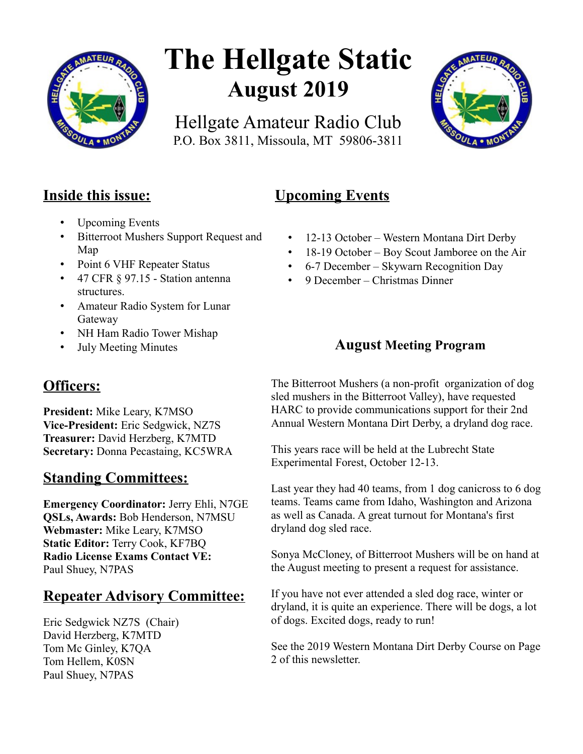

# **The Hellgate Static August 2019**

Hellgate Amateur Radio Club P.O. Box 3811, Missoula, MT 59806-3811



## **Inside this issue:**

- Upcoming Events
- Bitterroot Mushers Support Request and Map
- Point 6 VHF Repeater Status
- 47 CFR § 97.15 Station antenna structures.
- Amateur Radio System for Lunar Gateway
- NH Ham Radio Tower Mishap
- July Meeting Minutes

## **Officers:**

**President:** Mike Leary, K7MSO **Vice-President:** Eric Sedgwick, NZ7S **Treasurer:** David Herzberg, K7MTD **Secretary:** Donna Pecastaing, KC5WRA

## **Standing Committees:**

**Emergency Coordinator:** Jerry Ehli, N7GE **QSLs, Awards:** Bob Henderson, N7MSU **Webmaster:** Mike Leary, K7MSO **Static Editor:** Terry Cook, KF7BQ **Radio License Exams Contact VE:** Paul Shuey, N7PAS

## **Repeater Advisory Committee:**

Eric Sedgwick NZ7S (Chair) David Herzberg, K7MTD Tom Mc Ginley, K7QA Tom Hellem, K0SN Paul Shuey, N7PAS

## **Upcoming Events**

- 12-13 October Western Montana Dirt Derby
- 18-19 October Boy Scout Jamboree on the Air
- 6-7 December Skywarn Recognition Day
- 9 December Christmas Dinner

## **August Meeting Program**

The Bitterroot Mushers (a non-profit organization of dog sled mushers in the Bitterroot Valley), have requested HARC to provide communications support for their 2nd Annual Western Montana Dirt Derby, a dryland dog race.

This years race will be held at the Lubrecht State Experimental Forest, October 12-13.

Last year they had 40 teams, from 1 dog canicross to 6 dog teams. Teams came from Idaho, Washington and Arizona as well as Canada. A great turnout for Montana's first dryland dog sled race.

Sonya McCloney, of Bitterroot Mushers will be on hand at the August meeting to present a request for assistance.

If you have not ever attended a sled dog race, winter or dryland, it is quite an experience. There will be dogs, a lot of dogs. Excited dogs, ready to run!

See the 2019 Western Montana Dirt Derby Course on Page 2 of this newsletter.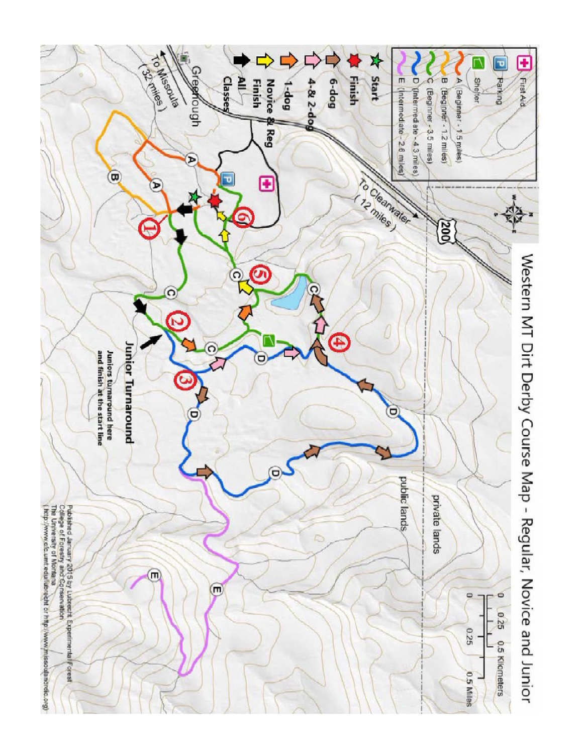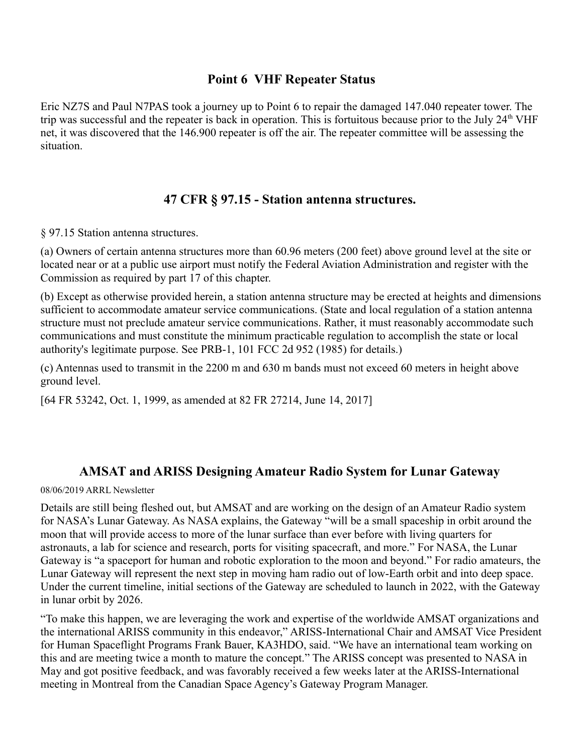#### **Point 6 VHF Repeater Status**

Eric NZ7S and Paul N7PAS took a journey up to Point 6 to repair the damaged 147.040 repeater tower. The trip was successful and the repeater is back in operation. This is fortuitous because prior to the July  $24<sup>th</sup>$  VHF net, it was discovered that the 146.900 repeater is off the air. The repeater committee will be assessing the situation.

#### **47 CFR § 97.15 - Station antenna structures.**

§ 97.15 Station antenna structures.

(a) Owners of certain antenna structures more than 60.96 meters (200 feet) above ground level at the site or located near or at a public use airport must notify the Federal Aviation Administration and register with the Commission as required by part 17 of this chapter.

(b) Except as otherwise provided herein, a station antenna structure may be erected at heights and dimensions sufficient to accommodate amateur service communications. (State and local regulation of a station antenna structure must not preclude amateur service communications. Rather, it must reasonably accommodate such communications and must constitute the minimum practicable regulation to accomplish the state or local authority's legitimate purpose. See PRB-1, 101 FCC 2d 952 (1985) for details.)

(c) Antennas used to transmit in the 2200 m and 630 m bands must not exceed 60 meters in height above ground level.

[64 FR 53242, Oct. 1, 1999, as amended at 82 FR 27214, June 14, 2017]

#### **AMSAT and ARISS Designing Amateur Radio System for Lunar Gateway**

08/06/2019 ARRL Newsletter

Details are still being fleshed out, but AMSAT and are working on the design of an Amateur Radio system for NASA's Lunar Gateway. As NASA explains, the Gateway "will be a small spaceship in orbit around the moon that will provide access to more of the lunar surface than ever before with living quarters for astronauts, a lab for science and research, ports for visiting spacecraft, and more." For NASA, the Lunar Gateway is "a spaceport for human and robotic exploration to the moon and beyond." For radio amateurs, the Lunar Gateway will represent the next step in moving ham radio out of low-Earth orbit and into deep space. Under the current timeline, initial sections of the Gateway are scheduled to launch in 2022, with the Gateway in lunar orbit by 2026.

"To make this happen, we are leveraging the work and expertise of the worldwide AMSAT organizations and the international ARISS community in this endeavor," ARISS-International Chair and AMSAT Vice President for Human Spaceflight Programs Frank Bauer, KA3HDO, said. "We have an international team working on this and are meeting twice a month to mature the concept." The ARISS concept was presented to NASA in May and got positive feedback, and was favorably received a few weeks later at the ARISS-International meeting in Montreal from the Canadian Space Agency's Gateway Program Manager.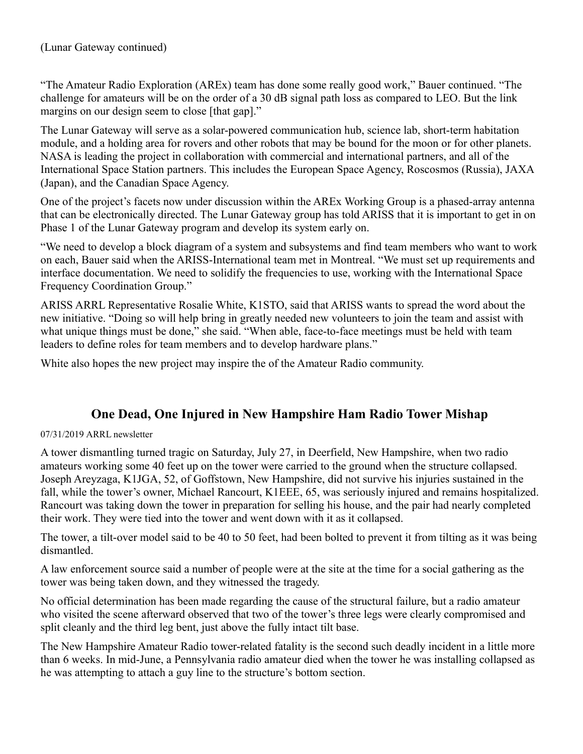"The Amateur Radio Exploration (AREx) team has done some really good work," Bauer continued. "The challenge for amateurs will be on the order of a 30 dB signal path loss as compared to LEO. But the link margins on our design seem to close [that gap]."

The Lunar Gateway will serve as a solar-powered communication hub, science lab, short-term habitation module, and a holding area for rovers and other robots that may be bound for the moon or for other planets. NASA is leading the project in collaboration with commercial and international partners, and all of the International Space Station partners. This includes the European Space Agency, Roscosmos (Russia), JAXA (Japan), and the Canadian Space Agency.

One of the project's facets now under discussion within the AREx Working Group is a phased-array antenna that can be electronically directed. The Lunar Gateway group has told ARISS that it is important to get in on Phase 1 of the Lunar Gateway program and develop its system early on.

"We need to develop a block diagram of a system and subsystems and find team members who want to work on each, Bauer said when the ARISS-International team met in Montreal. "We must set up requirements and interface documentation. We need to solidify the frequencies to use, working with the International Space Frequency Coordination Group."

ARISS ARRL Representative Rosalie White, K1STO, said that ARISS wants to spread the word about the new initiative. "Doing so will help bring in greatly needed new volunteers to join the team and assist with what unique things must be done," she said. "When able, face-to-face meetings must be held with team leaders to define roles for team members and to develop hardware plans."

White also hopes the new project may inspire the of the Amateur Radio community.

### **One Dead, One Injured in New Hampshire Ham Radio Tower Mishap**

07/31/2019 ARRL newsletter

A tower dismantling turned tragic on Saturday, July 27, in Deerfield, New Hampshire, when two radio amateurs working some 40 feet up on the tower were carried to the ground when the structure collapsed. Joseph Areyzaga, K1JGA, 52, of Goffstown, New Hampshire, did not survive his injuries sustained in the fall, while the tower's owner, Michael Rancourt, K1EEE, 65, was seriously injured and remains hospitalized. Rancourt was taking down the tower in preparation for selling his house, and the pair had nearly completed their work. They were tied into the tower and went down with it as it collapsed.

The tower, a tilt-over model said to be 40 to 50 feet, had been bolted to prevent it from tilting as it was being dismantled.

A law enforcement source said a number of people were at the site at the time for a social gathering as the tower was being taken down, and they witnessed the tragedy.

No official determination has been made regarding the cause of the structural failure, but a radio amateur who visited the scene afterward observed that two of the tower's three legs were clearly compromised and split cleanly and the third leg bent, just above the fully intact tilt base.

The New Hampshire Amateur Radio tower-related fatality is the second such deadly incident in a little more than 6 weeks. In mid-June, a Pennsylvania radio amateur died when the tower he was installing collapsed as he was attempting to attach a guy line to the structure's bottom section.